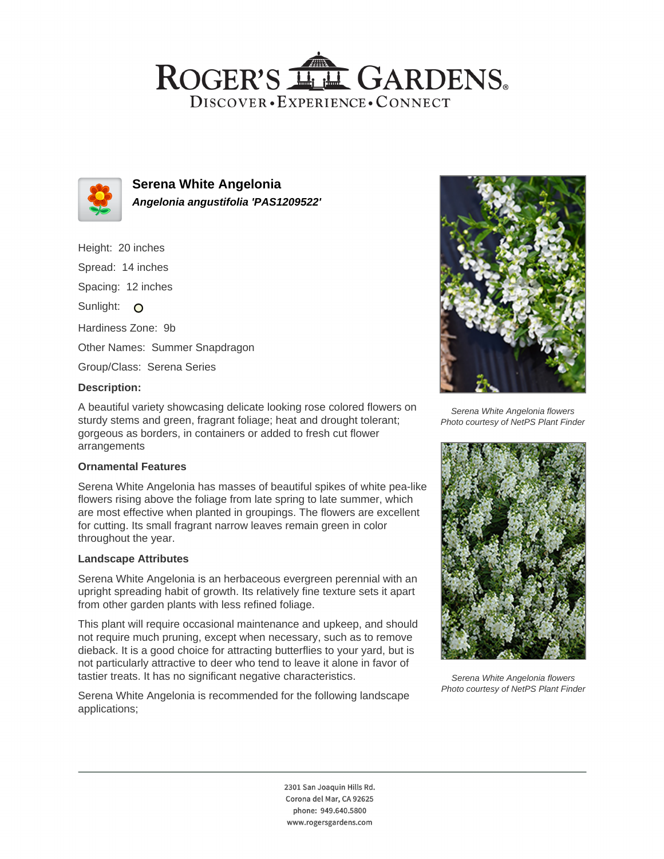## ROGER'S LL GARDENS. DISCOVER · EXPERIENCE · CONNECT



**Serena White Angelonia Angelonia angustifolia 'PAS1209522'**

Height: 20 inches

Spread: 14 inches

Spacing: 12 inches

Sunlight: O

Hardiness Zone: 9b

Other Names: Summer Snapdragon

Group/Class: Serena Series

#### **Description:**

A beautiful variety showcasing delicate looking rose colored flowers on sturdy stems and green, fragrant foliage; heat and drought tolerant; gorgeous as borders, in containers or added to fresh cut flower arrangements

#### **Ornamental Features**

Serena White Angelonia has masses of beautiful spikes of white pea-like flowers rising above the foliage from late spring to late summer, which are most effective when planted in groupings. The flowers are excellent for cutting. Its small fragrant narrow leaves remain green in color throughout the year.

#### **Landscape Attributes**

Serena White Angelonia is an herbaceous evergreen perennial with an upright spreading habit of growth. Its relatively fine texture sets it apart from other garden plants with less refined foliage.

This plant will require occasional maintenance and upkeep, and should not require much pruning, except when necessary, such as to remove dieback. It is a good choice for attracting butterflies to your yard, but is not particularly attractive to deer who tend to leave it alone in favor of tastier treats. It has no significant negative characteristics.

Serena White Angelonia is recommended for the following landscape applications;



Serena White Angelonia flowers Photo courtesy of NetPS Plant Finder



Serena White Angelonia flowers Photo courtesy of NetPS Plant Finder

2301 San Joaquin Hills Rd. Corona del Mar, CA 92625 phone: 949.640.5800 www.rogersgardens.com